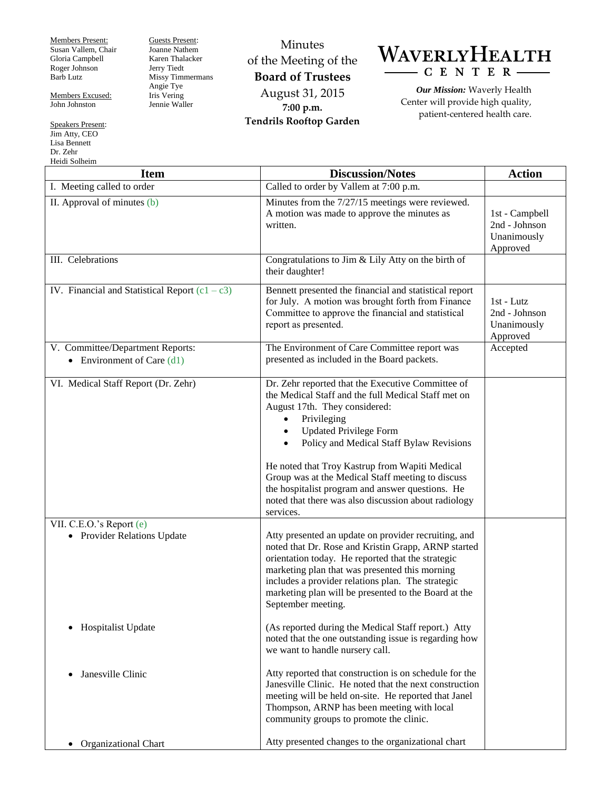Members Present: Susan Vallem, Chair Gloria Campbell Roger Johnson Barb Lutz

Members Excused: John Johnston

Speakers Present: Jim Atty, CEO Lisa Bennett Dr. Zehr Heidi Solheim

Joanne Nathem Karen Thalacker Jerry Tiedt Missy Timmermans Angie Tye Iris Vering Jennie Waller

Guests Present:

Minutes of the Meeting of the **Board of Trustees** August 31, 2015 **7:00 p.m. Tendrils Rooftop Garden**



*Our Mission:* Waverly Health Center will provide high quality, patient-centered health care.

| <b>Item</b>                                                      | <b>Discussion/Notes</b>                                                                                                                                                                                                                                                                                                                                                                                                                                                                         | <b>Action</b>                                              |
|------------------------------------------------------------------|-------------------------------------------------------------------------------------------------------------------------------------------------------------------------------------------------------------------------------------------------------------------------------------------------------------------------------------------------------------------------------------------------------------------------------------------------------------------------------------------------|------------------------------------------------------------|
| I. Meeting called to order                                       | Called to order by Vallem at 7:00 p.m.                                                                                                                                                                                                                                                                                                                                                                                                                                                          |                                                            |
| II. Approval of minutes (b)                                      | Minutes from the 7/27/15 meetings were reviewed.<br>A motion was made to approve the minutes as<br>written.                                                                                                                                                                                                                                                                                                                                                                                     | 1st - Campbell<br>2nd - Johnson<br>Unanimously<br>Approved |
| III. Celebrations                                                | Congratulations to Jim & Lily Atty on the birth of<br>their daughter!                                                                                                                                                                                                                                                                                                                                                                                                                           |                                                            |
| IV. Financial and Statistical Report $(c1 - c3)$                 | Bennett presented the financial and statistical report<br>for July. A motion was brought forth from Finance<br>Committee to approve the financial and statistical<br>report as presented.                                                                                                                                                                                                                                                                                                       | 1st - Lutz<br>2nd - Johnson<br>Unanimously<br>Approved     |
| V. Committee/Department Reports:<br>• Environment of Care $(d1)$ | The Environment of Care Committee report was<br>presented as included in the Board packets.                                                                                                                                                                                                                                                                                                                                                                                                     | Accepted                                                   |
| VI. Medical Staff Report (Dr. Zehr)                              | Dr. Zehr reported that the Executive Committee of<br>the Medical Staff and the full Medical Staff met on<br>August 17th. They considered:<br>Privileging<br>$\bullet$<br><b>Updated Privilege Form</b><br>$\bullet$<br>Policy and Medical Staff Bylaw Revisions<br>He noted that Troy Kastrup from Wapiti Medical<br>Group was at the Medical Staff meeting to discuss<br>the hospitalist program and answer questions. He<br>noted that there was also discussion about radiology<br>services. |                                                            |
| VII. C.E.O.'s Report (e)<br>• Provider Relations Update          | Atty presented an update on provider recruiting, and<br>noted that Dr. Rose and Kristin Grapp, ARNP started<br>orientation today. He reported that the strategic<br>marketing plan that was presented this morning<br>includes a provider relations plan. The strategic<br>marketing plan will be presented to the Board at the<br>September meeting.                                                                                                                                           |                                                            |
| <b>Hospitalist Update</b><br>$\bullet$                           | (As reported during the Medical Staff report.) Atty<br>noted that the one outstanding issue is regarding how<br>we want to handle nursery call.                                                                                                                                                                                                                                                                                                                                                 |                                                            |
| Janesville Clinic<br>$\bullet$                                   | Atty reported that construction is on schedule for the<br>Janesville Clinic. He noted that the next construction<br>meeting will be held on-site. He reported that Janel<br>Thompson, ARNP has been meeting with local<br>community groups to promote the clinic.                                                                                                                                                                                                                               |                                                            |
| Organizational Chart<br>$\bullet$                                | Atty presented changes to the organizational chart                                                                                                                                                                                                                                                                                                                                                                                                                                              |                                                            |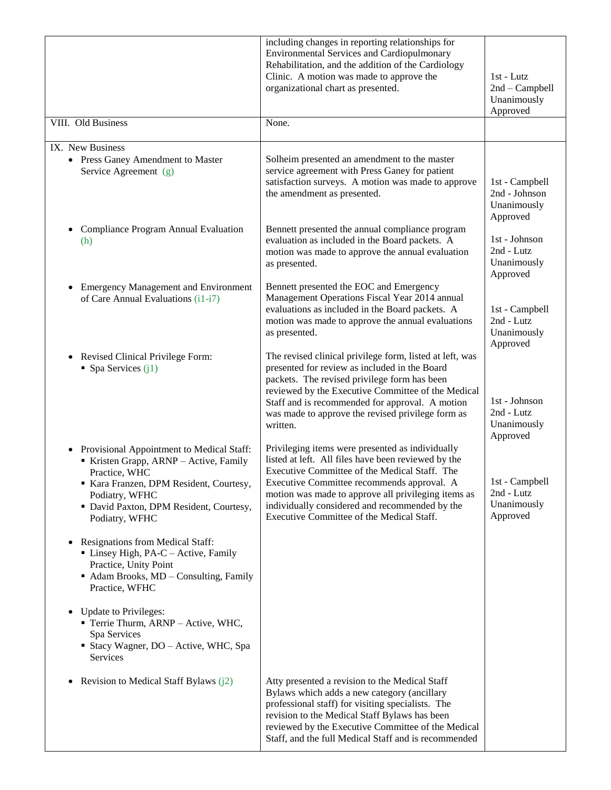|                                                                                                                                                                                                                                         | including changes in reporting relationships for<br><b>Environmental Services and Cardiopulmonary</b><br>Rehabilitation, and the addition of the Cardiology<br>Clinic. A motion was made to approve the<br>organizational chart as presented.                                                                                                                | $1st$ - Lutz<br>2nd - Campbell<br>Unanimously<br>Approved  |
|-----------------------------------------------------------------------------------------------------------------------------------------------------------------------------------------------------------------------------------------|--------------------------------------------------------------------------------------------------------------------------------------------------------------------------------------------------------------------------------------------------------------------------------------------------------------------------------------------------------------|------------------------------------------------------------|
| VIII. Old Business                                                                                                                                                                                                                      | None.                                                                                                                                                                                                                                                                                                                                                        |                                                            |
| IX. New Business<br>• Press Ganey Amendment to Master<br>Service Agreement (g)                                                                                                                                                          | Solheim presented an amendment to the master<br>service agreement with Press Ganey for patient<br>satisfaction surveys. A motion was made to approve<br>the amendment as presented.                                                                                                                                                                          | 1st - Campbell<br>2nd - Johnson<br>Unanimously<br>Approved |
| Compliance Program Annual Evaluation<br>$\bullet$<br>(h)                                                                                                                                                                                | Bennett presented the annual compliance program<br>evaluation as included in the Board packets. A<br>motion was made to approve the annual evaluation<br>as presented.                                                                                                                                                                                       | 1st - Johnson<br>2nd - Lutz<br>Unanimously<br>Approved     |
| • Emergency Management and Environment<br>of Care Annual Evaluations (i1-i7)                                                                                                                                                            | Bennett presented the EOC and Emergency<br>Management Operations Fiscal Year 2014 annual<br>evaluations as included in the Board packets. A<br>motion was made to approve the annual evaluations<br>as presented.                                                                                                                                            | 1st - Campbell<br>2nd - Lutz<br>Unanimously<br>Approved    |
| Revised Clinical Privilege Form:<br>$\bullet$<br>• Spa Services $(i1)$                                                                                                                                                                  | The revised clinical privilege form, listed at left, was<br>presented for review as included in the Board<br>packets. The revised privilege form has been<br>reviewed by the Executive Committee of the Medical<br>Staff and is recommended for approval. A motion<br>was made to approve the revised privilege form as<br>written.                          | 1st - Johnson<br>2nd - Lutz<br>Unanimously<br>Approved     |
| Provisional Appointment to Medical Staff:<br>$\bullet$<br>Kristen Grapp, ARNP - Active, Family<br>Practice, WHC<br>Kara Franzen, DPM Resident, Courtesy,<br>Podiatry, WFHC<br>· David Paxton, DPM Resident, Courtesy,<br>Podiatry, WFHC | Privileging items were presented as individually<br>listed at left. All files have been reviewed by the<br>Executive Committee of the Medical Staff. The<br>Executive Committee recommends approval. A<br>motion was made to approve all privileging items as<br>individually considered and recommended by the<br>Executive Committee of the Medical Staff. | 1st - Campbell<br>2nd - Lutz<br>Unanimously<br>Approved    |
| <b>Resignations from Medical Staff:</b><br>$\bullet$<br>$\blacksquare$ Linsey High, PA-C – Active, Family<br>Practice, Unity Point<br>Adam Brooks, MD - Consulting, Family<br>Practice, WFHC                                            |                                                                                                                                                                                                                                                                                                                                                              |                                                            |
| <b>Update to Privileges:</b><br>Terrie Thurm, ARNP - Active, WHC,<br>Spa Services<br>• Stacy Wagner, DO – Active, WHC, Spa<br>Services                                                                                                  |                                                                                                                                                                                                                                                                                                                                                              |                                                            |
| Revision to Medical Staff Bylaws $(j2)$<br>$\bullet$                                                                                                                                                                                    | Atty presented a revision to the Medical Staff<br>Bylaws which adds a new category (ancillary<br>professional staff) for visiting specialists. The<br>revision to the Medical Staff Bylaws has been<br>reviewed by the Executive Committee of the Medical<br>Staff, and the full Medical Staff and is recommended                                            |                                                            |